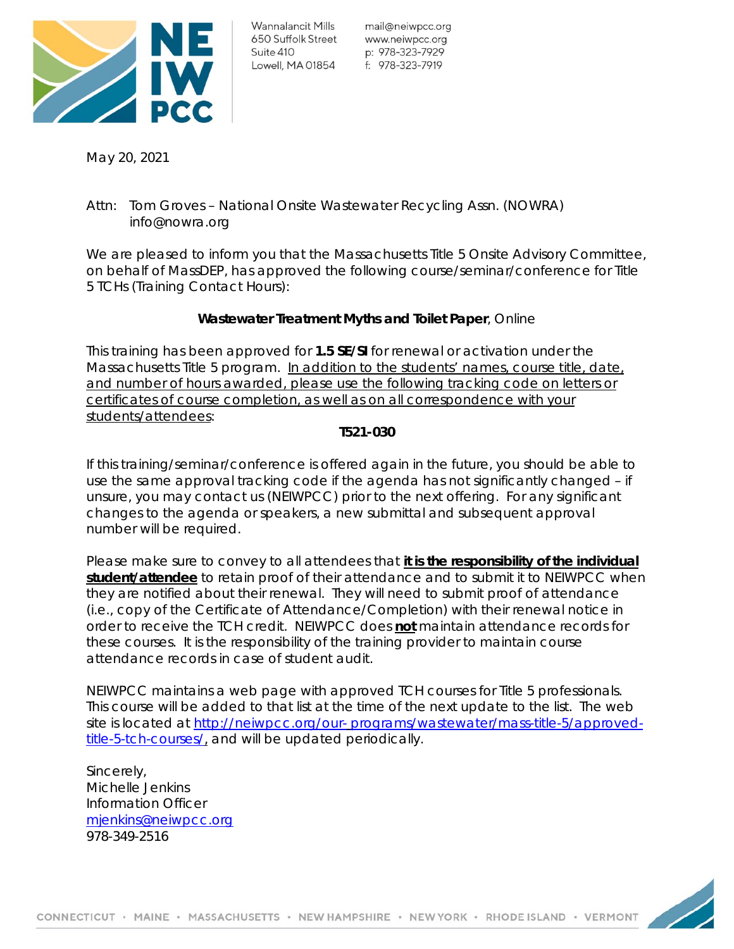

mail@neiwpcc.org p: 978-323-7929

May 20, 2021

# Attn: Tom Groves – National Onsite Wastewater Recycling Assn. (NOWRA) info@nowra.org

We are pleased to inform you that the Massachusetts Title 5 Onsite Advisory Committee, on behalf of MassDEP, has approved the following course/seminar/conference for Title 5 TCHs (Training Contact Hours):

# **Wastewater Treatment Myths and Toilet Paper**, Online

This training has been approved for **1.5 SE/SI** *for renewal* or *activation* under the Massachusetts Title 5 program. *In addition to the students' names, course title, date, and number of hours awarded, please use the following tracking code on letters or certificates of course completion, as well as on all correspondence with your students/attendees*:

### **T521-030**

If this training/seminar/conference is offered again in the future, you should be able to use the same approval tracking code if the agenda has not significantly changed – if unsure, you may contact us (NEIWPCC) prior to the next offering. For any significant changes to the agenda or speakers, a new submittal and subsequent approval number will be required.

Please make sure to convey to all attendees that **it is the responsibility of the individual student/attendee** to retain proof of their attendance and to submit it to NEIWPCC when they are notified about their renewal. They will need to submit proof of attendance (i.e., copy of the Certificate of Attendance/Completion) with their renewal notice in order to receive the TCH credit. NEIWPCC does **not** maintain attendance records for these courses. It is the responsibility of the training provider to maintain course attendance records in case of student audit.

NEIWPCC maintains a web page with approved TCH courses for Title 5 professionals. This course will be added to that list at the time of the next update to the list. The web site is located at http://neiwpcc.org/our- programs/wastewater/mass-title-5/approvedtitle-5-tch-courses/, and will be updated periodically.

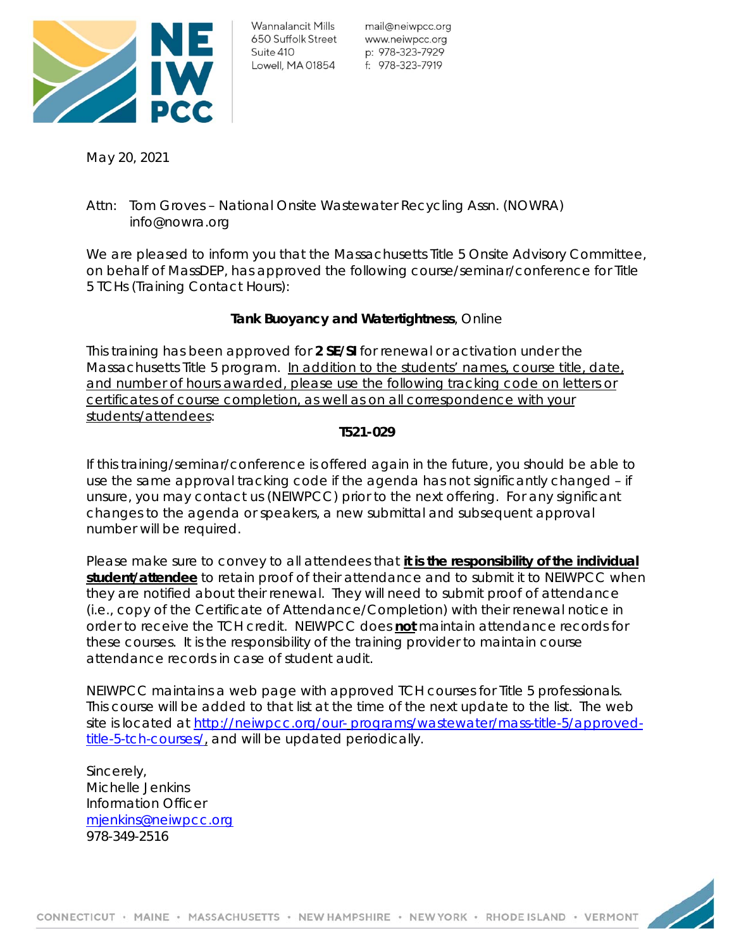

mail@neiwpcc.org p: 978-323-7929

May 20, 2021

# Attn: Tom Groves – National Onsite Wastewater Recycling Assn. (NOWRA) info@nowra.org

We are pleased to inform you that the Massachusetts Title 5 Onsite Advisory Committee, on behalf of MassDEP, has approved the following course/seminar/conference for Title 5 TCHs (Training Contact Hours):

# **Tank Buoyancy and Watertightness**, Online

This training has been approved for **2 SE/SI** *for renewal* or *activation* under the Massachusetts Title 5 program. *In addition to the students' names, course title, date, and number of hours awarded, please use the following tracking code on letters or certificates of course completion, as well as on all correspondence with your students/attendees*:

### **T521-029**

If this training/seminar/conference is offered again in the future, you should be able to use the same approval tracking code if the agenda has not significantly changed – if unsure, you may contact us (NEIWPCC) prior to the next offering. For any significant changes to the agenda or speakers, a new submittal and subsequent approval number will be required.

Please make sure to convey to all attendees that **it is the responsibility of the individual student/attendee** to retain proof of their attendance and to submit it to NEIWPCC when they are notified about their renewal. They will need to submit proof of attendance (i.e., copy of the Certificate of Attendance/Completion) with their renewal notice in order to receive the TCH credit. NEIWPCC does **not** maintain attendance records for these courses. It is the responsibility of the training provider to maintain course attendance records in case of student audit.

NEIWPCC maintains a web page with approved TCH courses for Title 5 professionals. This course will be added to that list at the time of the next update to the list. The web site is located at http://neiwpcc.org/our- programs/wastewater/mass-title-5/approvedtitle-5-tch-courses/, and will be updated periodically.

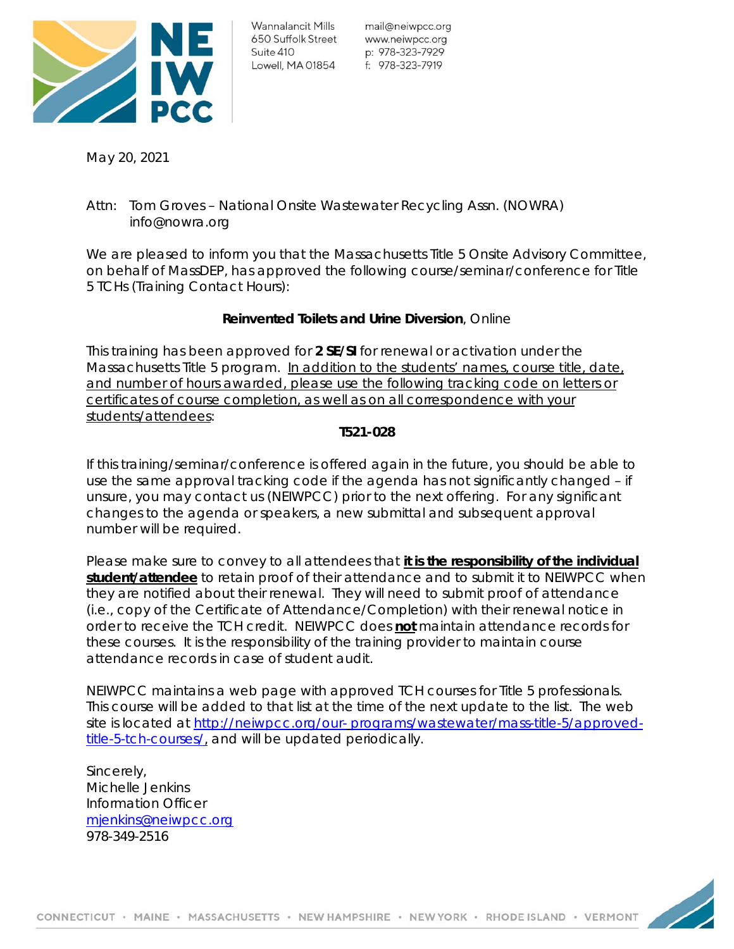

mail@neiwpcc.org p: 978-323-7929

May 20, 2021

# Attn: Tom Groves – National Onsite Wastewater Recycling Assn. (NOWRA) info@nowra.org

We are pleased to inform you that the Massachusetts Title 5 Onsite Advisory Committee, on behalf of MassDEP, has approved the following course/seminar/conference for Title 5 TCHs (Training Contact Hours):

# **Reinvented Toilets and Urine Diversion**, Online

This training has been approved for **2 SE/SI** *for renewal* or *activation* under the Massachusetts Title 5 program. *In addition to the students' names, course title, date, and number of hours awarded, please use the following tracking code on letters or certificates of course completion, as well as on all correspondence with your students/attendees*:

### **T521-028**

If this training/seminar/conference is offered again in the future, you should be able to use the same approval tracking code if the agenda has not significantly changed – if unsure, you may contact us (NEIWPCC) prior to the next offering. For any significant changes to the agenda or speakers, a new submittal and subsequent approval number will be required.

Please make sure to convey to all attendees that **it is the responsibility of the individual student/attendee** to retain proof of their attendance and to submit it to NEIWPCC when they are notified about their renewal. They will need to submit proof of attendance (i.e., copy of the Certificate of Attendance/Completion) with their renewal notice in order to receive the TCH credit. NEIWPCC does **not** maintain attendance records for these courses. It is the responsibility of the training provider to maintain course attendance records in case of student audit.

NEIWPCC maintains a web page with approved TCH courses for Title 5 professionals. This course will be added to that list at the time of the next update to the list. The web site is located at http://neiwpcc.org/our- programs/wastewater/mass-title-5/approvedtitle-5-tch-courses/, and will be updated periodically.

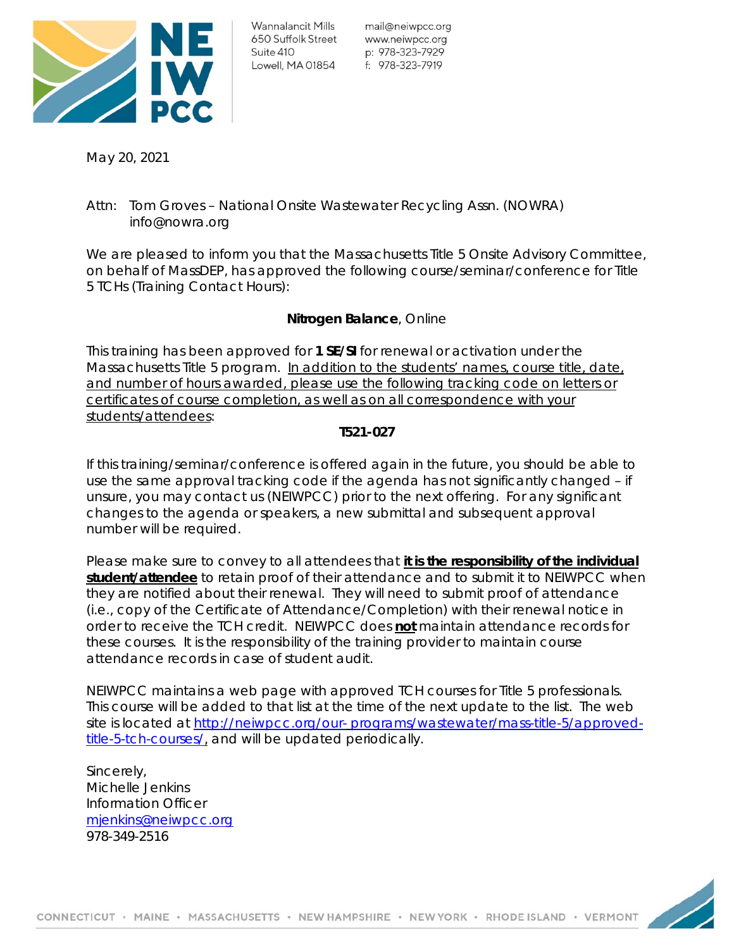

mail@neiwpcc.org p: 978-323-7929

May 20, 2021

# Attn: Tom Groves – National Onsite Wastewater Recycling Assn. (NOWRA) info@nowra.org

We are pleased to inform you that the Massachusetts Title 5 Onsite Advisory Committee, on behalf of MassDEP, has approved the following course/seminar/conference for Title 5 TCHs (Training Contact Hours):

# **Nitrogen Balance**, Online

This training has been approved for **1 SE/SI** *for renewal* or *activation* under the Massachusetts Title 5 program. *In addition to the students' names, course title, date, and number of hours awarded, please use the following tracking code on letters or certificates of course completion, as well as on all correspondence with your students/attendees*:

### **T521-027**

If this training/seminar/conference is offered again in the future, you should be able to use the same approval tracking code if the agenda has not significantly changed – if unsure, you may contact us (NEIWPCC) prior to the next offering. For any significant changes to the agenda or speakers, a new submittal and subsequent approval number will be required.

Please make sure to convey to all attendees that **it is the responsibility of the individual student/attendee** to retain proof of their attendance and to submit it to NEIWPCC when they are notified about their renewal. They will need to submit proof of attendance (i.e., copy of the Certificate of Attendance/Completion) with their renewal notice in order to receive the TCH credit. NEIWPCC does **not** maintain attendance records for these courses. It is the responsibility of the training provider to maintain course attendance records in case of student audit.

NEIWPCC maintains a web page with approved TCH courses for Title 5 professionals. This course will be added to that list at the time of the next update to the list. The web site is located at http://neiwpcc.org/our- programs/wastewater/mass-title-5/approvedtitle-5-tch-courses/, and will be updated periodically.

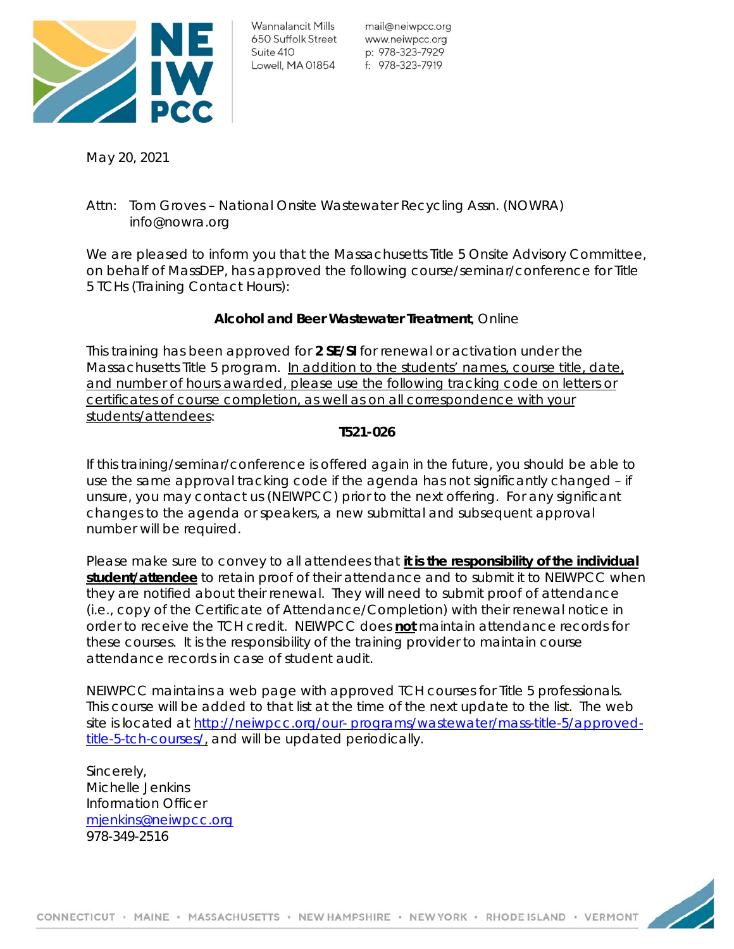

mail@neiwpcc.org p: 978-323-7929

May 20, 2021

# Attn: Tom Groves – National Onsite Wastewater Recycling Assn. (NOWRA) info@nowra.org

We are pleased to inform you that the Massachusetts Title 5 Onsite Advisory Committee, on behalf of MassDEP, has approved the following course/seminar/conference for Title 5 TCHs (Training Contact Hours):

# **Alcohol and Beer Wastewater Treatment**, Online

This training has been approved for **2 SE/SI** *for renewal* or *activation* under the Massachusetts Title 5 program. *In addition to the students' names, course title, date, and number of hours awarded, please use the following tracking code on letters or certificates of course completion, as well as on all correspondence with your students/attendees*:

### **T521-026**

If this training/seminar/conference is offered again in the future, you should be able to use the same approval tracking code if the agenda has not significantly changed – if unsure, you may contact us (NEIWPCC) prior to the next offering. For any significant changes to the agenda or speakers, a new submittal and subsequent approval number will be required.

Please make sure to convey to all attendees that **it is the responsibility of the individual student/attendee** to retain proof of their attendance and to submit it to NEIWPCC when they are notified about their renewal. They will need to submit proof of attendance (i.e., copy of the Certificate of Attendance/Completion) with their renewal notice in order to receive the TCH credit. NEIWPCC does **not** maintain attendance records for these courses. It is the responsibility of the training provider to maintain course attendance records in case of student audit.

NEIWPCC maintains a web page with approved TCH courses for Title 5 professionals. This course will be added to that list at the time of the next update to the list. The web site is located at http://neiwpcc.org/our- programs/wastewater/mass-title-5/approvedtitle-5-tch-courses/, and will be updated periodically.

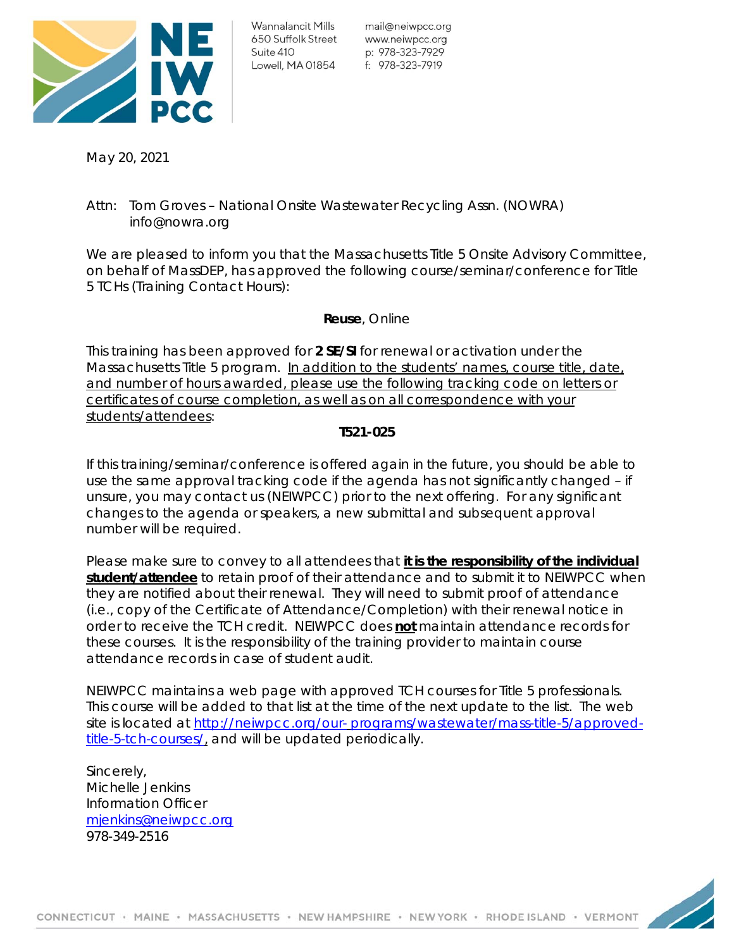

mail@neiwpcc.org p: 978-323-7929

May 20, 2021

# Attn: Tom Groves – National Onsite Wastewater Recycling Assn. (NOWRA) info@nowra.org

We are pleased to inform you that the Massachusetts Title 5 Onsite Advisory Committee, on behalf of MassDEP, has approved the following course/seminar/conference for Title 5 TCHs (Training Contact Hours):

### **Reuse**, Online

This training has been approved for **2 SE/SI** *for renewal* or *activation* under the Massachusetts Title 5 program. *In addition to the students' names, course title, date, and number of hours awarded, please use the following tracking code on letters or certificates of course completion, as well as on all correspondence with your students/attendees*:

### **T521-025**

If this training/seminar/conference is offered again in the future, you should be able to use the same approval tracking code if the agenda has not significantly changed – if unsure, you may contact us (NEIWPCC) prior to the next offering. For any significant changes to the agenda or speakers, a new submittal and subsequent approval number will be required.

Please make sure to convey to all attendees that **it is the responsibility of the individual student/attendee** to retain proof of their attendance and to submit it to NEIWPCC when they are notified about their renewal. They will need to submit proof of attendance (i.e., copy of the Certificate of Attendance/Completion) with their renewal notice in order to receive the TCH credit. NEIWPCC does **not** maintain attendance records for these courses. It is the responsibility of the training provider to maintain course attendance records in case of student audit.

NEIWPCC maintains a web page with approved TCH courses for Title 5 professionals. This course will be added to that list at the time of the next update to the list. The web site is located at http://neiwpcc.org/our- programs/wastewater/mass-title-5/approvedtitle-5-tch-courses/, and will be updated periodically.

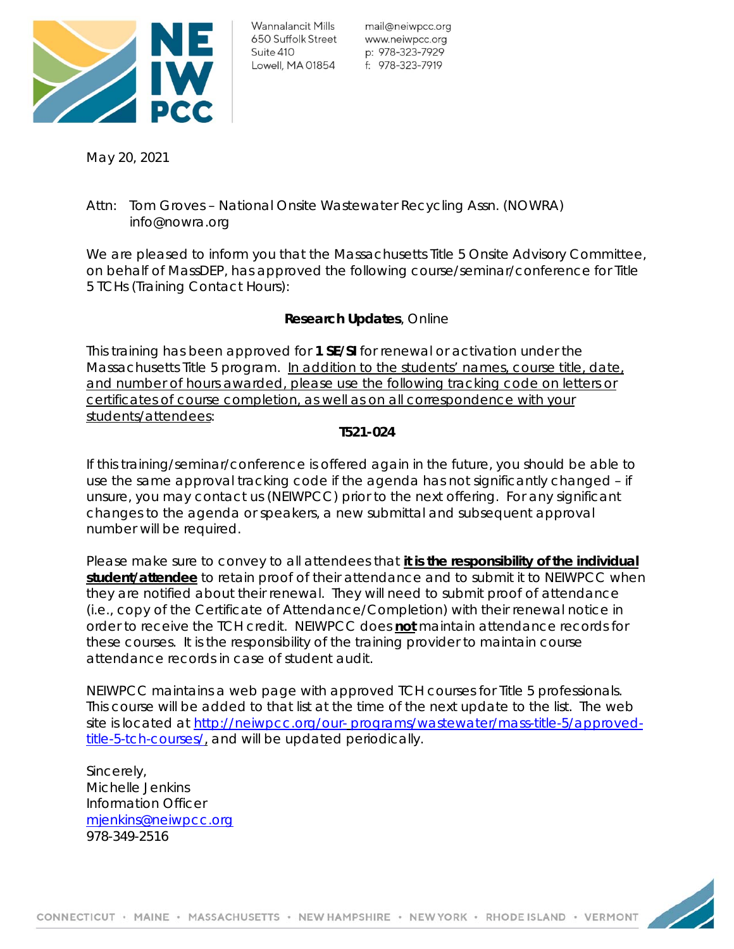

mail@neiwpcc.org p: 978-323-7929

May 20, 2021

# Attn: Tom Groves – National Onsite Wastewater Recycling Assn. (NOWRA) info@nowra.org

We are pleased to inform you that the Massachusetts Title 5 Onsite Advisory Committee, on behalf of MassDEP, has approved the following course/seminar/conference for Title 5 TCHs (Training Contact Hours):

# **Research Updates**, Online

This training has been approved for **1 SE/SI** *for renewal* or *activation* under the Massachusetts Title 5 program. *In addition to the students' names, course title, date, and number of hours awarded, please use the following tracking code on letters or certificates of course completion, as well as on all correspondence with your students/attendees*:

### **T521-024**

If this training/seminar/conference is offered again in the future, you should be able to use the same approval tracking code if the agenda has not significantly changed – if unsure, you may contact us (NEIWPCC) prior to the next offering. For any significant changes to the agenda or speakers, a new submittal and subsequent approval number will be required.

Please make sure to convey to all attendees that **it is the responsibility of the individual student/attendee** to retain proof of their attendance and to submit it to NEIWPCC when they are notified about their renewal. They will need to submit proof of attendance (i.e., copy of the Certificate of Attendance/Completion) with their renewal notice in order to receive the TCH credit. NEIWPCC does **not** maintain attendance records for these courses. It is the responsibility of the training provider to maintain course attendance records in case of student audit.

NEIWPCC maintains a web page with approved TCH courses for Title 5 professionals. This course will be added to that list at the time of the next update to the list. The web site is located at http://neiwpcc.org/our- programs/wastewater/mass-title-5/approvedtitle-5-tch-courses/, and will be updated periodically.

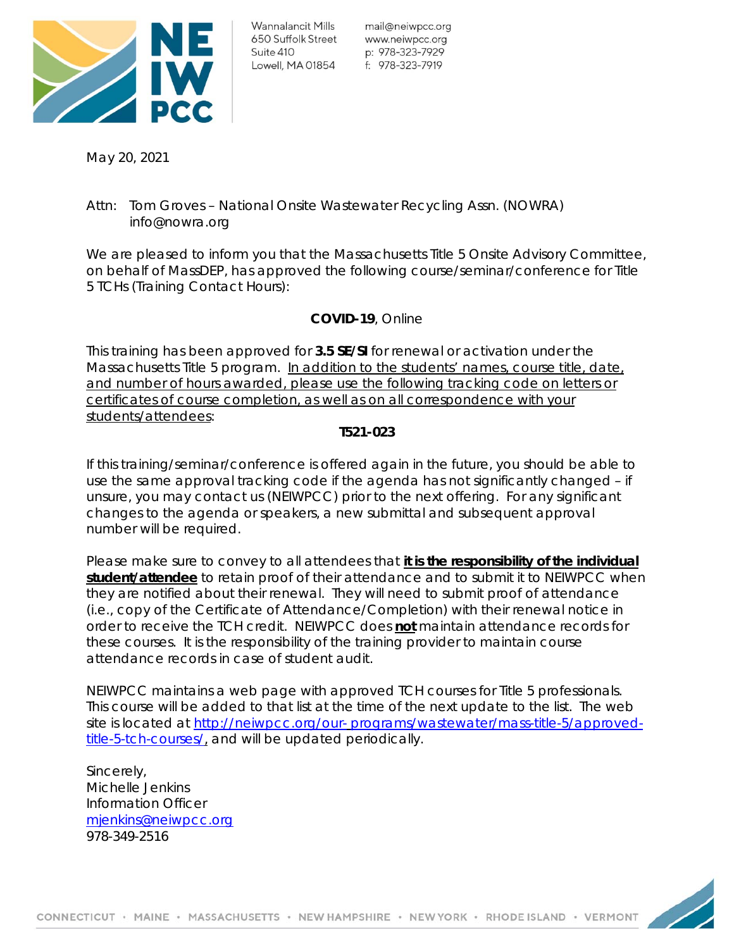

mail@neiwpcc.org p: 978-323-7929

May 20, 2021

# Attn: Tom Groves – National Onsite Wastewater Recycling Assn. (NOWRA) info@nowra.org

We are pleased to inform you that the Massachusetts Title 5 Onsite Advisory Committee, on behalf of MassDEP, has approved the following course/seminar/conference for Title 5 TCHs (Training Contact Hours):

# **COVID-19**, Online

This training has been approved for **3.5 SE/SI** *for renewal* or *activation* under the Massachusetts Title 5 program. *In addition to the students' names, course title, date, and number of hours awarded, please use the following tracking code on letters or certificates of course completion, as well as on all correspondence with your students/attendees*:

### **T521-023**

If this training/seminar/conference is offered again in the future, you should be able to use the same approval tracking code if the agenda has not significantly changed – if unsure, you may contact us (NEIWPCC) prior to the next offering. For any significant changes to the agenda or speakers, a new submittal and subsequent approval number will be required.

Please make sure to convey to all attendees that **it is the responsibility of the individual student/attendee** to retain proof of their attendance and to submit it to NEIWPCC when they are notified about their renewal. They will need to submit proof of attendance (i.e., copy of the Certificate of Attendance/Completion) with their renewal notice in order to receive the TCH credit. NEIWPCC does **not** maintain attendance records for these courses. It is the responsibility of the training provider to maintain course attendance records in case of student audit.

NEIWPCC maintains a web page with approved TCH courses for Title 5 professionals. This course will be added to that list at the time of the next update to the list. The web site is located at http://neiwpcc.org/our- programs/wastewater/mass-title-5/approvedtitle-5-tch-courses/, and will be updated periodically.

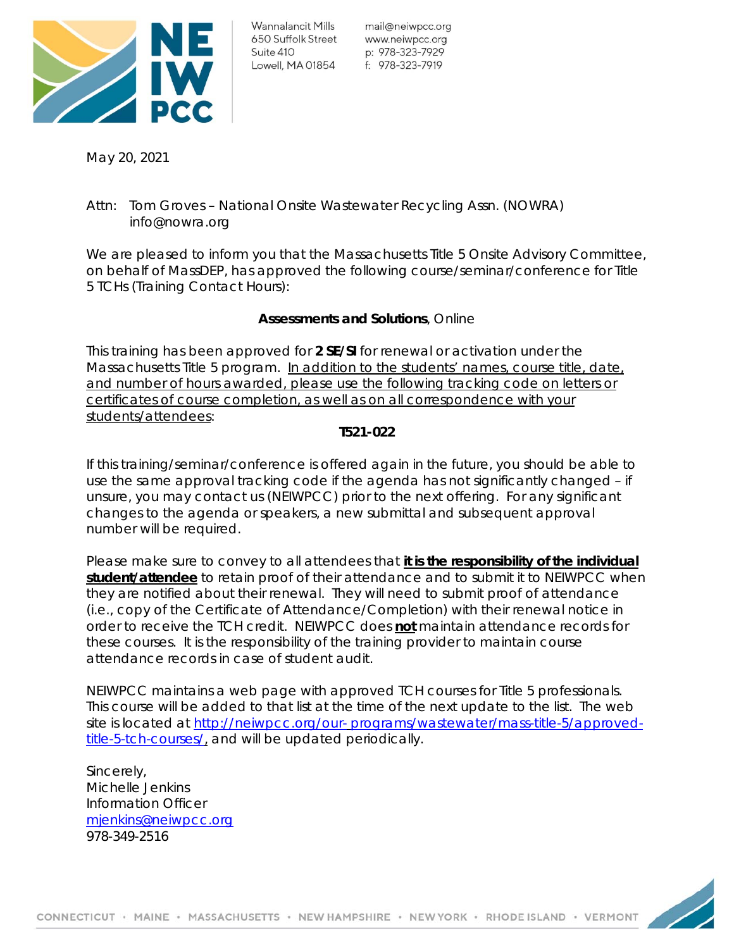

mail@neiwpcc.org p: 978-323-7929

May 20, 2021

# Attn: Tom Groves – National Onsite Wastewater Recycling Assn. (NOWRA) info@nowra.org

We are pleased to inform you that the Massachusetts Title 5 Onsite Advisory Committee, on behalf of MassDEP, has approved the following course/seminar/conference for Title 5 TCHs (Training Contact Hours):

# **Assessments and Solutions**, Online

This training has been approved for **2 SE/SI** *for renewal* or *activation* under the Massachusetts Title 5 program. *In addition to the students' names, course title, date, and number of hours awarded, please use the following tracking code on letters or certificates of course completion, as well as on all correspondence with your students/attendees*:

### **T521-022**

If this training/seminar/conference is offered again in the future, you should be able to use the same approval tracking code if the agenda has not significantly changed – if unsure, you may contact us (NEIWPCC) prior to the next offering. For any significant changes to the agenda or speakers, a new submittal and subsequent approval number will be required.

Please make sure to convey to all attendees that **it is the responsibility of the individual student/attendee** to retain proof of their attendance and to submit it to NEIWPCC when they are notified about their renewal. They will need to submit proof of attendance (i.e., copy of the Certificate of Attendance/Completion) with their renewal notice in order to receive the TCH credit. NEIWPCC does **not** maintain attendance records for these courses. It is the responsibility of the training provider to maintain course attendance records in case of student audit.

NEIWPCC maintains a web page with approved TCH courses for Title 5 professionals. This course will be added to that list at the time of the next update to the list. The web site is located at http://neiwpcc.org/our- programs/wastewater/mass-title-5/approvedtitle-5-tch-courses/, and will be updated periodically.